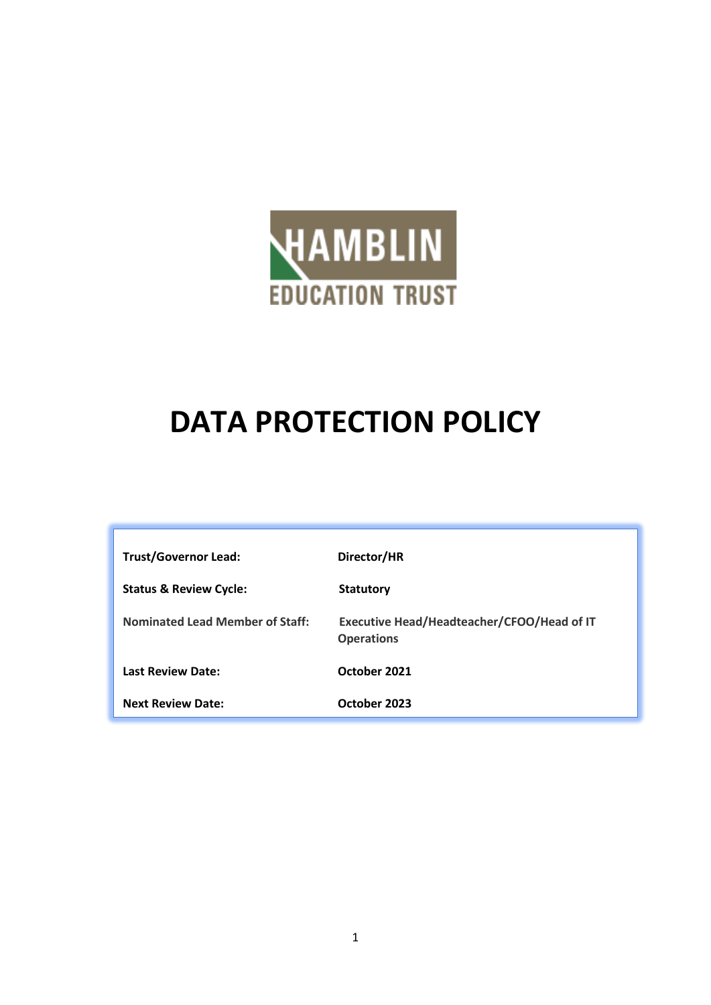

# **DATA PROTECTION POLICY**

| <b>Trust/Governor Lead:</b>            | Director/HR                                                     |
|----------------------------------------|-----------------------------------------------------------------|
| <b>Status &amp; Review Cycle:</b>      | <b>Statutory</b>                                                |
| <b>Nominated Lead Member of Staff:</b> | Executive Head/Headteacher/CFOO/Head of IT<br><b>Operations</b> |
| <b>Last Review Date:</b>               | October 2021                                                    |
| <b>Next Review Date:</b>               | October 2023                                                    |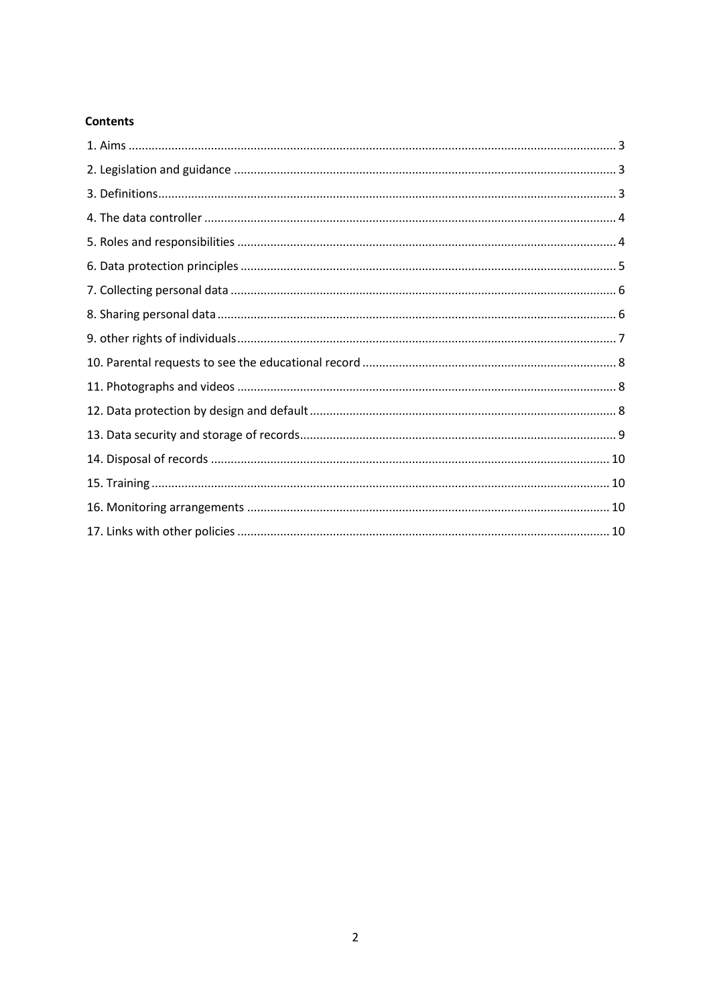#### **Contents**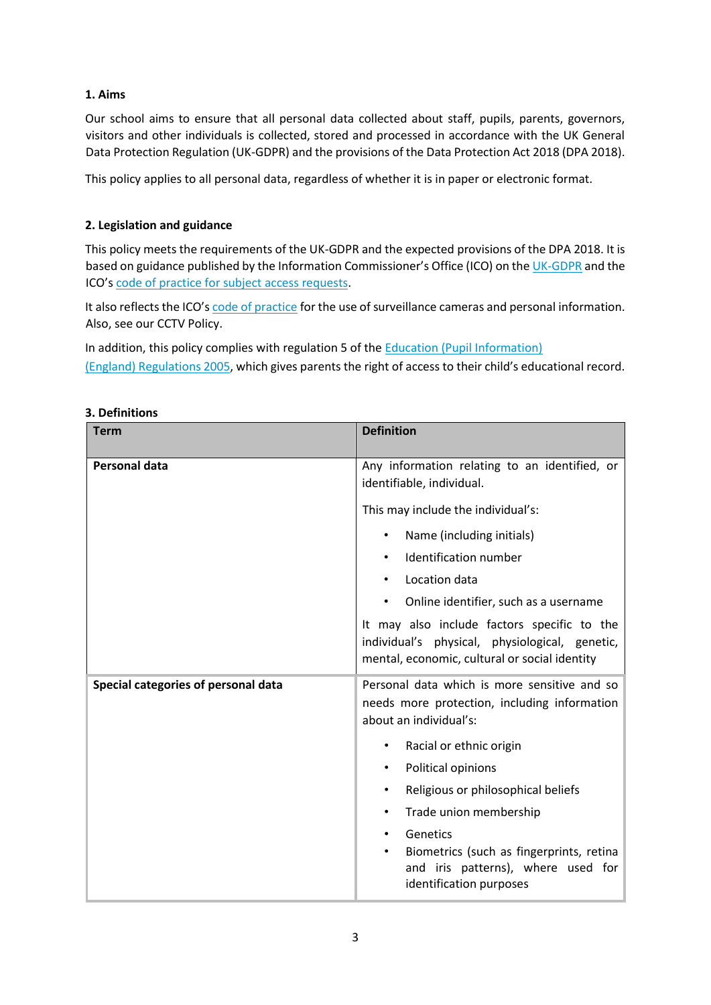# <span id="page-2-0"></span>**1. Aims**

Our school aims to ensure that all personal data collected about staff, pupils, parents, governors, visitors and other individuals is collected, stored and processed in accordance with the UK General Data Protection Regulation (UK-GDPR) and the provisions of the Data Protection Act 2018 (DPA 2018).

This policy applies to all personal data, regardless of whether it is in paper or electronic format.

# <span id="page-2-1"></span>**2. Legislation and guidance**

This policy meets the requirements of the UK-GDPR and the expected provisions of the DPA 2018. It is based on guidance published by the Information Commissioner's Office (ICO) on the [UK-GDPR](https://ico.org.uk/for-organisations/guide-to-the-general-data-protection-regulation-gdpr/) and the ICO's [code of practice for subject access requests.](https://ico.org.uk/media/for-organisations/documents/2014223/subject-access-code-of-practice.pdf)

It also reflects the ICO's [code of practice](https://ico.org.uk/media/for-organisations/documents/1542/cctv-code-of-practice.pdf) for the use of surveillance cameras and personal information. Also, see our CCTV Policy.

In addition, this policy complies with regulation 5 of the [Education \(Pupil Information\)](http://www.legislation.gov.uk/uksi/2005/1437/regulation/5/made) [\(England\) Regulations 2005,](http://www.legislation.gov.uk/uksi/2005/1437/regulation/5/made) which gives parents the right of access to their child's educational record.

| <b>Term</b>                         | <b>Definition</b>                                                                                                                              |
|-------------------------------------|------------------------------------------------------------------------------------------------------------------------------------------------|
| <b>Personal data</b>                | Any information relating to an identified, or<br>identifiable, individual.                                                                     |
|                                     | This may include the individual's:                                                                                                             |
|                                     | Name (including initials)<br>$\bullet$                                                                                                         |
|                                     | Identification number<br>$\bullet$                                                                                                             |
|                                     | Location data<br>$\bullet$                                                                                                                     |
|                                     | Online identifier, such as a username<br>$\bullet$                                                                                             |
|                                     | It may also include factors specific to the<br>individual's physical, physiological, genetic,<br>mental, economic, cultural or social identity |
| Special categories of personal data | Personal data which is more sensitive and so<br>needs more protection, including information<br>about an individual's:                         |
|                                     | Racial or ethnic origin<br>$\bullet$                                                                                                           |
|                                     | Political opinions<br>$\bullet$                                                                                                                |
|                                     | Religious or philosophical beliefs<br>$\bullet$                                                                                                |
|                                     | Trade union membership<br>$\bullet$                                                                                                            |
|                                     | Genetics<br>$\bullet$<br>Biometrics (such as fingerprints, retina<br>and iris patterns), where used for<br>identification purposes             |

#### <span id="page-2-2"></span>**3. Definitions**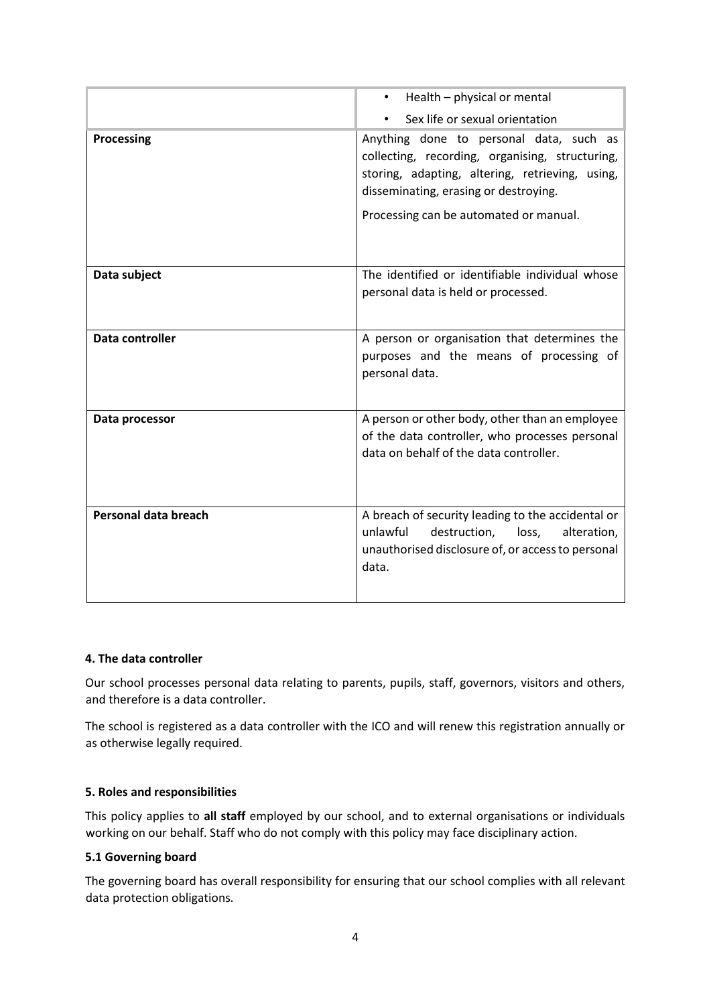|                      | Health - physical or mental                                                                                                                                                                                                      |
|----------------------|----------------------------------------------------------------------------------------------------------------------------------------------------------------------------------------------------------------------------------|
|                      | Sex life or sexual orientation                                                                                                                                                                                                   |
| <b>Processing</b>    | Anything done to personal data, such as<br>collecting, recording, organising, structuring,<br>storing, adapting, altering, retrieving, using,<br>disseminating, erasing or destroying.<br>Processing can be automated or manual. |
| Data subject         | The identified or identifiable individual whose<br>personal data is held or processed.                                                                                                                                           |
| Data controller      | A person or organisation that determines the<br>purposes and the means of processing of<br>personal data.                                                                                                                        |
| Data processor       | A person or other body, other than an employee<br>of the data controller, who processes personal<br>data on behalf of the data controller.                                                                                       |
| Personal data breach | A breach of security leading to the accidental or<br>unlawful<br>destruction,<br>alteration,<br>loss,<br>unauthorised disclosure of, or access to personal<br>data.                                                              |

#### <span id="page-3-0"></span>**4. The data controller**

Our school processes personal data relating to parents, pupils, staff, governors, visitors and others, and therefore is a data controller.

The school is registered as a data controller with the ICO and will renew this registration annually or as otherwise legally required.

#### <span id="page-3-1"></span>**5. Roles and responsibilities**

This policy applies to **all staff** employed by our school, and to external organisations or individuals working on our behalf. Staff who do not comply with this policy may face disciplinary action.

#### **5.1 Governing board**

The governing board has overall responsibility for ensuring that our school complies with all relevant data protection obligations.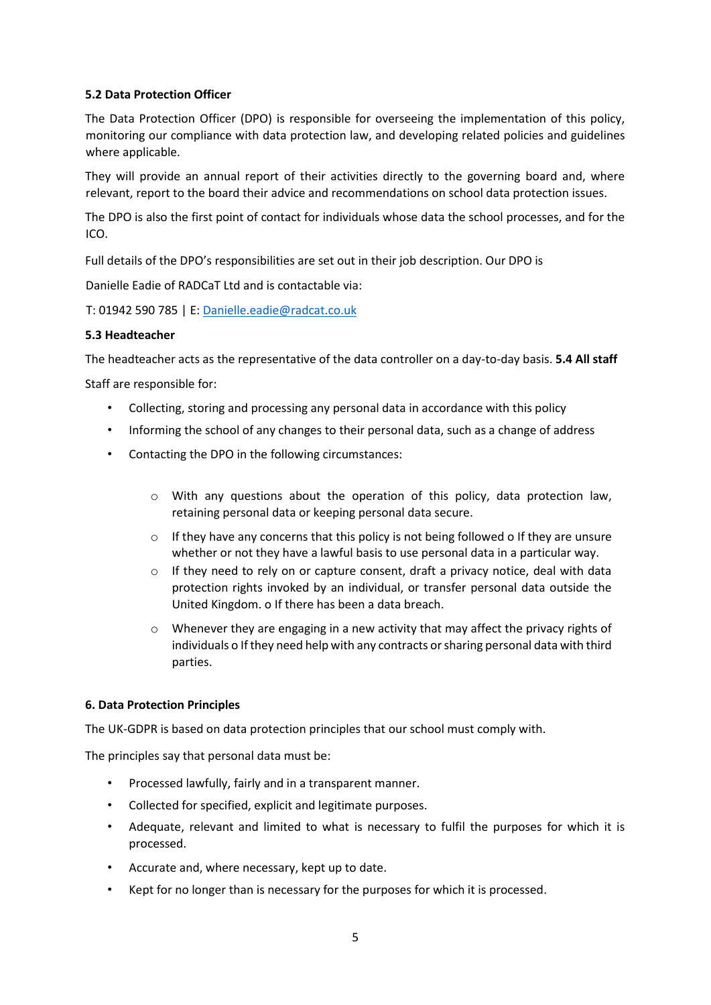## **5.2 Data Protection Officer**

The Data Protection Officer (DPO) is responsible for overseeing the implementation of this policy, monitoring our compliance with data protection law, and developing related policies and guidelines where applicable.

They will provide an annual report of their activities directly to the governing board and, where relevant, report to the board their advice and recommendations on school data protection issues.

The DPO is also the first point of contact for individuals whose data the school processes, and for the ICO.

Full details of the DPO's responsibilities are set out in their job description. Our DPO is

Danielle Eadie of RADCaT Ltd and is contactable via:

T: 01942 590 785 | E: Danielle.eadie@radcat.co.uk

#### **5.3 Headteacher**

The headteacher acts as the representative of the data controller on a day-to-day basis. **5.4 All staff** 

Staff are responsible for:

- Collecting, storing and processing any personal data in accordance with this policy
- Informing the school of any changes to their personal data, such as a change of address
- Contacting the DPO in the following circumstances:
	- o With any questions about the operation of this policy, data protection law, retaining personal data or keeping personal data secure.
	- $\circ$  If they have any concerns that this policy is not being followed o If they are unsure whether or not they have a lawful basis to use personal data in a particular way.
	- o If they need to rely on or capture consent, draft a privacy notice, deal with data protection rights invoked by an individual, or transfer personal data outside the United Kingdom. o If there has been a data breach.
	- Whenever they are engaging in a new activity that may affect the privacy rights of individuals o If they need help with any contracts or sharing personal data with third parties.

#### <span id="page-4-0"></span>**6. Data Protection Principles**

The UK-GDPR is based on data protection principles that our school must comply with.

The principles say that personal data must be:

- Processed lawfully, fairly and in a transparent manner.
- Collected for specified, explicit and legitimate purposes.
- Adequate, relevant and limited to what is necessary to fulfil the purposes for which it is processed.
- Accurate and, where necessary, kept up to date.
- Kept for no longer than is necessary for the purposes for which it is processed.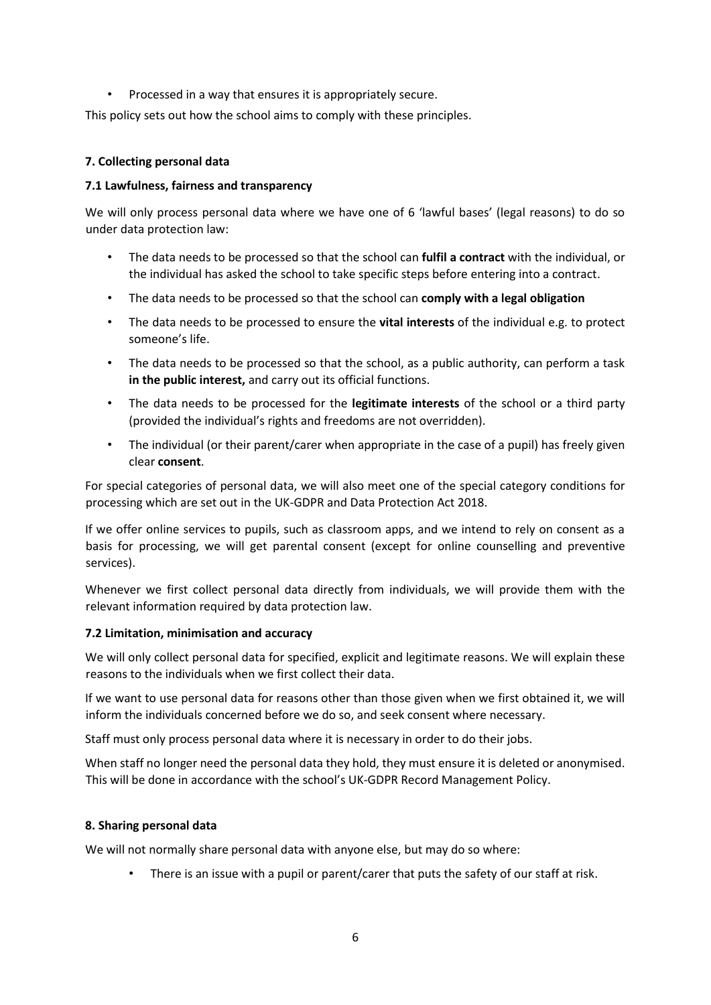• Processed in a way that ensures it is appropriately secure.

This policy sets out how the school aims to comply with these principles.

### <span id="page-5-0"></span>**7. Collecting personal data**

### **7.1 Lawfulness, fairness and transparency**

We will only process personal data where we have one of 6 'lawful bases' (legal reasons) to do so under data protection law:

- The data needs to be processed so that the school can **fulfil a contract** with the individual, or the individual has asked the school to take specific steps before entering into a contract.
- The data needs to be processed so that the school can **comply with a legal obligation**
- The data needs to be processed to ensure the **vital interests** of the individual e.g. to protect someone's life.
- The data needs to be processed so that the school, as a public authority, can perform a task **in the public interest,** and carry out its official functions.
- The data needs to be processed for the **legitimate interests** of the school or a third party (provided the individual's rights and freedoms are not overridden).
- The individual (or their parent/carer when appropriate in the case of a pupil) has freely given clear **consent**.

For special categories of personal data, we will also meet one of the special category conditions for processing which are set out in the UK-GDPR and Data Protection Act 2018.

If we offer online services to pupils, such as classroom apps, and we intend to rely on consent as a basis for processing, we will get parental consent (except for online counselling and preventive services).

Whenever we first collect personal data directly from individuals, we will provide them with the relevant information required by data protection law.

#### **7.2 Limitation, minimisation and accuracy**

We will only collect personal data for specified, explicit and legitimate reasons. We will explain these reasons to the individuals when we first collect their data.

If we want to use personal data for reasons other than those given when we first obtained it, we will inform the individuals concerned before we do so, and seek consent where necessary.

Staff must only process personal data where it is necessary in order to do their jobs.

When staff no longer need the personal data they hold, they must ensure it is deleted or anonymised. This will be done in accordance with the school's UK-GDPR Record Management Policy.

#### <span id="page-5-1"></span>**8. Sharing personal data**

We will not normally share personal data with anyone else, but may do so where:

There is an issue with a pupil or parent/carer that puts the safety of our staff at risk.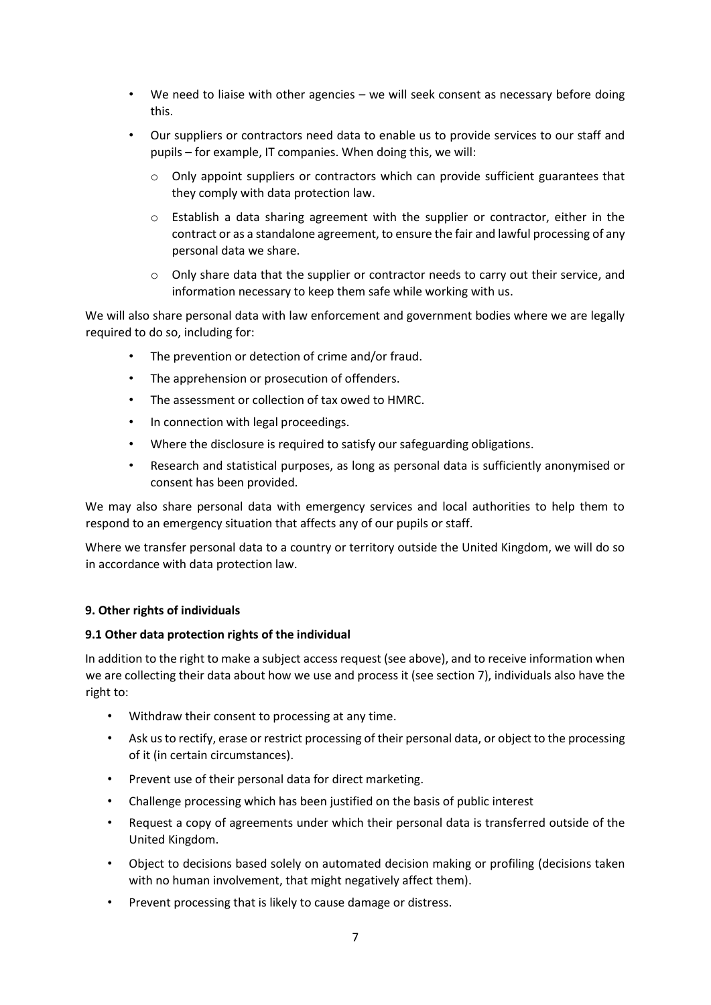- We need to liaise with other agencies we will seek consent as necessary before doing this.
- Our suppliers or contractors need data to enable us to provide services to our staff and pupils – for example, IT companies. When doing this, we will:
	- $\circ$  Only appoint suppliers or contractors which can provide sufficient guarantees that they comply with data protection law.
	- $\circ$  Establish a data sharing agreement with the supplier or contractor, either in the contract or as a standalone agreement, to ensure the fair and lawful processing of any personal data we share.
	- o Only share data that the supplier or contractor needs to carry out their service, and information necessary to keep them safe while working with us.

We will also share personal data with law enforcement and government bodies where we are legally required to do so, including for:

- The prevention or detection of crime and/or fraud.
- The apprehension or prosecution of offenders.
- The assessment or collection of tax owed to HMRC.
- In connection with legal proceedings.
- Where the disclosure is required to satisfy our safeguarding obligations.
- Research and statistical purposes, as long as personal data is sufficiently anonymised or consent has been provided.

We may also share personal data with emergency services and local authorities to help them to respond to an emergency situation that affects any of our pupils or staff.

Where we transfer personal data to a country or territory outside the United Kingdom, we will do so in accordance with data protection law.

#### <span id="page-6-0"></span>**9. Other rights of individuals**

#### **9.1 Other data protection rights of the individual**

In addition to the right to make a subject access request (see above), and to receive information when we are collecting their data about how we use and process it (see section 7), individuals also have the right to:

- Withdraw their consent to processing at any time.
- Ask us to rectify, erase or restrict processing of their personal data, or object to the processing of it (in certain circumstances).
- Prevent use of their personal data for direct marketing.
- Challenge processing which has been justified on the basis of public interest
- Request a copy of agreements under which their personal data is transferred outside of the United Kingdom.
- Object to decisions based solely on automated decision making or profiling (decisions taken with no human involvement, that might negatively affect them).
- Prevent processing that is likely to cause damage or distress.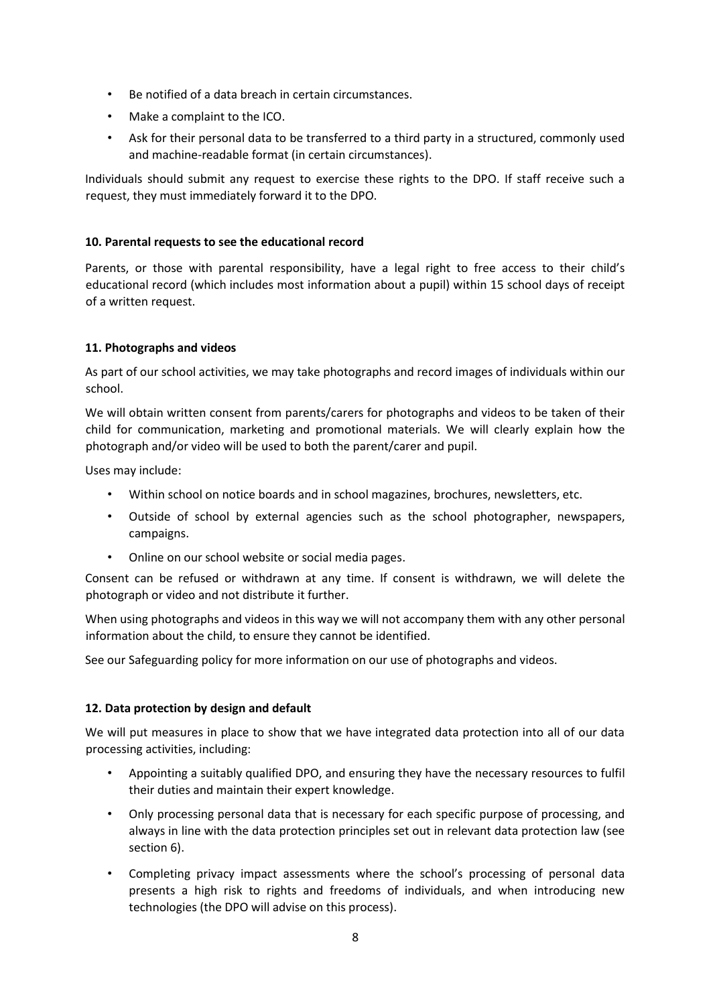- Be notified of a data breach in certain circumstances.
- Make a complaint to the ICO.
- Ask for their personal data to be transferred to a third party in a structured, commonly used and machine-readable format (in certain circumstances).

Individuals should submit any request to exercise these rights to the DPO. If staff receive such a request, they must immediately forward it to the DPO.

## <span id="page-7-0"></span>**10. Parental requests to see the educational record**

Parents, or those with parental responsibility, have a legal right to free access to their child's educational record (which includes most information about a pupil) within 15 school days of receipt of a written request.

## <span id="page-7-1"></span>**11. Photographs and videos**

As part of our school activities, we may take photographs and record images of individuals within our school.

We will obtain written consent from parents/carers for photographs and videos to be taken of their child for communication, marketing and promotional materials. We will clearly explain how the photograph and/or video will be used to both the parent/carer and pupil.

Uses may include:

- Within school on notice boards and in school magazines, brochures, newsletters, etc.
- Outside of school by external agencies such as the school photographer, newspapers, campaigns.
- Online on our school website or social media pages.

Consent can be refused or withdrawn at any time. If consent is withdrawn, we will delete the photograph or video and not distribute it further.

When using photographs and videos in this way we will not accompany them with any other personal information about the child, to ensure they cannot be identified.

See our Safeguarding policy for more information on our use of photographs and videos.

#### <span id="page-7-2"></span>**12. Data protection by design and default**

We will put measures in place to show that we have integrated data protection into all of our data processing activities, including:

- Appointing a suitably qualified DPO, and ensuring they have the necessary resources to fulfil their duties and maintain their expert knowledge.
- Only processing personal data that is necessary for each specific purpose of processing, and always in line with the data protection principles set out in relevant data protection law (see section 6).
- Completing privacy impact assessments where the school's processing of personal data presents a high risk to rights and freedoms of individuals, and when introducing new technologies (the DPO will advise on this process).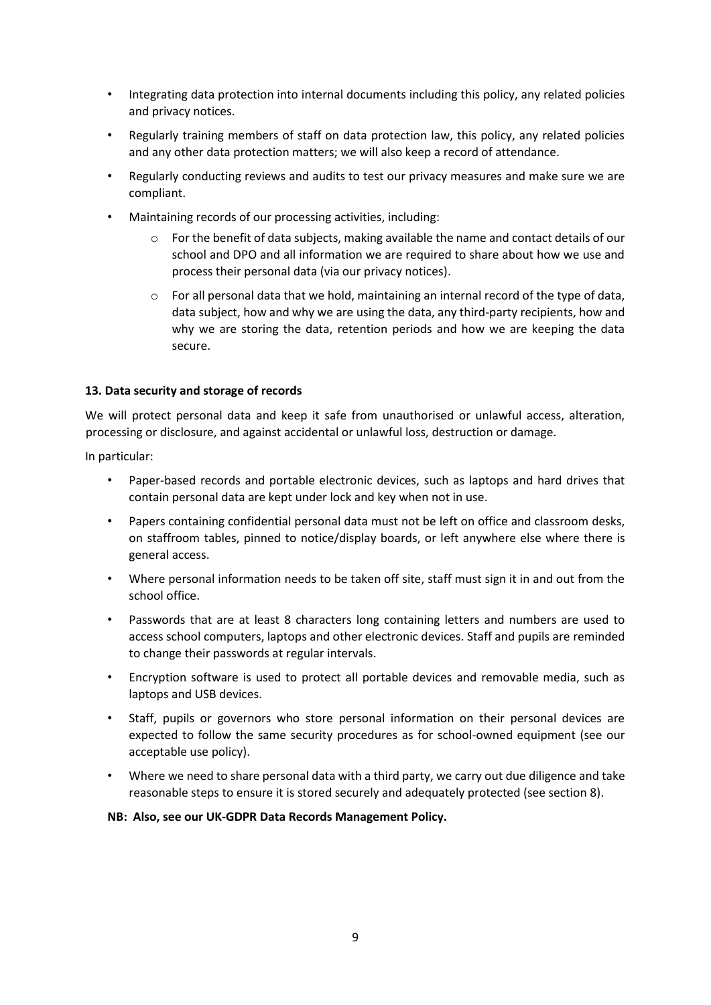- Integrating data protection into internal documents including this policy, any related policies and privacy notices.
- Regularly training members of staff on data protection law, this policy, any related policies and any other data protection matters; we will also keep a record of attendance.
- Regularly conducting reviews and audits to test our privacy measures and make sure we are compliant.
- Maintaining records of our processing activities, including:
	- $\circ$  For the benefit of data subjects, making available the name and contact details of our school and DPO and all information we are required to share about how we use and process their personal data (via our privacy notices).
	- $\circ$  For all personal data that we hold, maintaining an internal record of the type of data, data subject, how and why we are using the data, any third-party recipients, how and why we are storing the data, retention periods and how we are keeping the data secure.

# <span id="page-8-0"></span>**13. Data security and storage of records**

We will protect personal data and keep it safe from unauthorised or unlawful access, alteration, processing or disclosure, and against accidental or unlawful loss, destruction or damage.

In particular:

- Paper-based records and portable electronic devices, such as laptops and hard drives that contain personal data are kept under lock and key when not in use.
- Papers containing confidential personal data must not be left on office and classroom desks, on staffroom tables, pinned to notice/display boards, or left anywhere else where there is general access.
- Where personal information needs to be taken off site, staff must sign it in and out from the school office.
- Passwords that are at least 8 characters long containing letters and numbers are used to access school computers, laptops and other electronic devices. Staff and pupils are reminded to change their passwords at regular intervals.
- Encryption software is used to protect all portable devices and removable media, such as laptops and USB devices.
- Staff, pupils or governors who store personal information on their personal devices are expected to follow the same security procedures as for school-owned equipment (see our acceptable use policy).
- Where we need to share personal data with a third party, we carry out due diligence and take reasonable steps to ensure it is stored securely and adequately protected (see section 8).

**NB: Also, see our UK-GDPR Data Records Management Policy.**